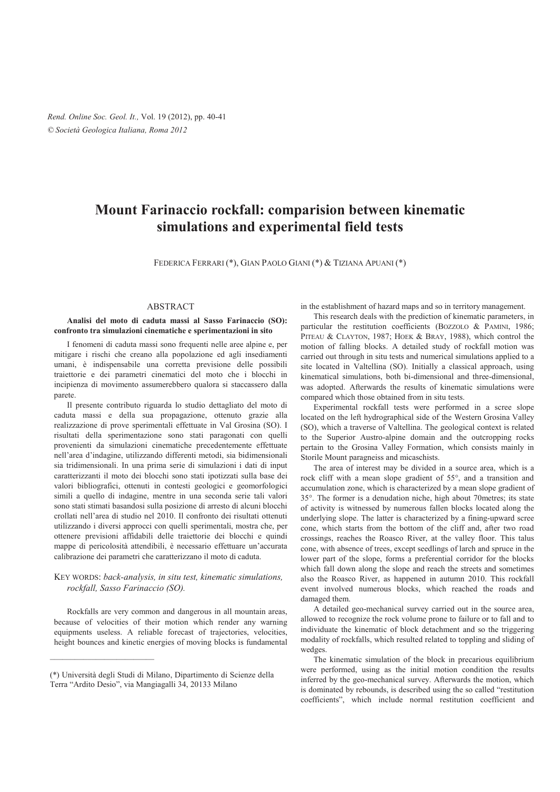# **Mount Farinaccio rockfall: comparision between kinematic simulations and experimental field tests**

FEDERICA FERRARI (\*), GIAN PAOLO GIANI (\*) & TIZIANA APUANI (\*)

## ABSTRACT

### **Analisi del moto di caduta massi al Sasso Farinaccio (SO): confronto tra simulazioni cinematiche e sperimentazioni in sito**

I fenomeni di caduta massi sono frequenti nelle aree alpine e, per mitigare i rischi che creano alla popolazione ed agli insediamenti umani, è indispensabile una corretta previsione delle possibili traiettorie e dei parametri cinematici del moto che i blocchi in incipienza di movimento assumerebbero qualora si staccassero dalla parete.

Il presente contributo riguarda lo studio dettagliato del moto di caduta massi e della sua propagazione, ottenuto grazie alla realizzazione di prove sperimentali effettuate in Val Grosina (SO). I risultati della sperimentazione sono stati paragonati con quelli provenienti da simulazioni cinematiche precedentemente effettuate nell'area d'indagine, utilizzando differenti metodi, sia bidimensionali sia tridimensionali. In una prima serie di simulazioni i dati di input caratterizzanti il moto dei blocchi sono stati ipotizzati sulla base dei valori bibliografici, ottenuti in contesti geologici e geomorfologici simili a quello di indagine, mentre in una seconda serie tali valori sono stati stimati basandosi sulla posizione di arresto di alcuni blocchi crollati nell'area di studio nel 2010. Il confronto dei risultati ottenuti utilizzando i diversi approcci con quelli sperimentali, mostra che, per ottenere previsioni affidabili delle traiettorie dei blocchi e quindi mappe di pericolosità attendibili, è necessario effettuare un'accurata calibrazione dei parametri che caratterizzano il moto di caduta.

### KEY WORDS: *back-analysis, in situ test, kinematic simulations, rockfall, Sasso Farinaccio (SO).*

Rockfalls are very common and dangerous in all mountain areas, because of velocities of their motion which render any warning equipments useless. A reliable forecast of trajectories, velocities, height bounces and kinetic energies of moving blocks is fundamental

\_\_\_\_\_\_\_\_\_\_\_\_\_\_\_\_\_\_\_\_\_\_\_\_\_

in the establishment of hazard maps and so in territory management.

This research deals with the prediction of kinematic parameters, in particular the restitution coefficients (BOZZOLO & PAMINI, 1986; PITEAU & CLAYTON, 1987; HOEK & BRAY, 1988), which control the motion of falling blocks. A detailed study of rockfall motion was carried out through in situ tests and numerical simulations applied to a site located in Valtellina (SO). Initially a classical approach, using kinematical simulations, both bi-dimensional and three-dimensional, was adopted. Afterwards the results of kinematic simulations were compared which those obtained from in situ tests.

Experimental rockfall tests were performed in a scree slope located on the left hydrographical side of the Western Grosina Valley (SO), which a traverse of Valtellina. The geological context is related to the Superior Austro-alpine domain and the outcropping rocks pertain to the Grosina Valley Formation, which consists mainly in Storile Mount paragneiss and micaschists.

The area of interest may be divided in a source area, which is a rock cliff with a mean slope gradient of 55°, and a transition and accumulation zone, which is characterized by a mean slope gradient of 35°. The former is a denudation niche, high about 70metres; its state of activity is witnessed by numerous fallen blocks located along the underlying slope. The latter is characterized by a fining-upward scree cone, which starts from the bottom of the cliff and, after two road crossings, reaches the Roasco River, at the valley floor. This talus cone, with absence of trees, except seedlings of larch and spruce in the lower part of the slope, forms a preferential corridor for the blocks which fall down along the slope and reach the streets and sometimes also the Roasco River, as happened in autumn 2010. This rockfall event involved numerous blocks, which reached the roads and damaged them.

A detailed geo-mechanical survey carried out in the source area, allowed to recognize the rock volume prone to failure or to fall and to individuate the kinematic of block detachment and so the triggering modality of rockfalls, which resulted related to toppling and sliding of wedges.

The kinematic simulation of the block in precarious equilibrium were performed, using as the initial motion condition the results inferred by the geo-mechanical survey. Afterwards the motion, which is dominated by rebounds, is described using the so called "restitution" coefficients", which include normal restitution coefficient and

<sup>(\*)</sup> Università degli Studi di Milano, Dipartimento di Scienze della Terra "Ardito Desio", via Mangiagalli 34, 20133 Milano